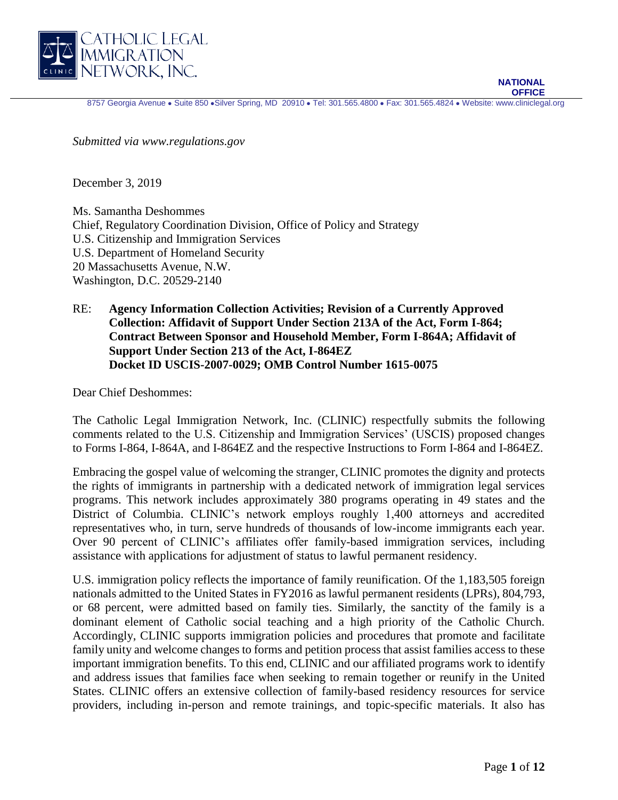

8757 Georgia Avenue • Suite 850 • Silver Spring, MD 20910 • Tel: 301.565.4800 • Fax: 301.565.4824 • Website: www.cliniclegal.org

*Submitted via www.regulations.gov* 

December 3, 2019

Ms. Samantha Deshommes Chief, Regulatory Coordination Division, Office of Policy and Strategy U.S. Citizenship and Immigration Services U.S. Department of Homeland Security 20 Massachusetts Avenue, N.W. Washington, D.C. 20529-2140

RE: **Agency Information Collection Activities; Revision of a Currently Approved Collection: Affidavit of Support Under Section 213A of the Act, Form I-864; Contract Between Sponsor and Household Member, Form I-864A; Affidavit of Support Under Section 213 of the Act, I-864EZ Docket ID USCIS-2007-0029; OMB Control Number 1615-0075**

Dear Chief Deshommes:

The Catholic Legal Immigration Network, Inc. (CLINIC) respectfully submits the following comments related to the U.S. Citizenship and Immigration Services' (USCIS) proposed changes to Forms I-864, I-864A, and I-864EZ and the respective Instructions to Form I-864 and I-864EZ.

Embracing the gospel value of welcoming the stranger, CLINIC promotes the dignity and protects the rights of immigrants in partnership with a dedicated network of immigration legal services programs. This network includes approximately 380 programs operating in 49 states and the District of Columbia. CLINIC's network employs roughly 1,400 attorneys and accredited representatives who, in turn, serve hundreds of thousands of low-income immigrants each year. Over 90 percent of CLINIC's affiliates offer family-based immigration services, including assistance with applications for adjustment of status to lawful permanent residency.

U.S. immigration policy reflects the importance of family reunification. Of the 1,183,505 foreign nationals admitted to the United States in FY2016 as lawful permanent residents (LPRs), 804,793, or 68 percent, were admitted based on family ties. Similarly, the sanctity of the family is a dominant element of Catholic social teaching and a high priority of the Catholic Church. Accordingly, CLINIC supports immigration policies and procedures that promote and facilitate family unity and welcome changes to forms and petition process that assist families access to these important immigration benefits. To this end, CLINIC and our affiliated programs work to identify and address issues that families face when seeking to remain together or reunify in the United States. CLINIC offers an extensive collection of family-based residency resources for service providers, including in-person and remote trainings, and topic-specific materials. It also has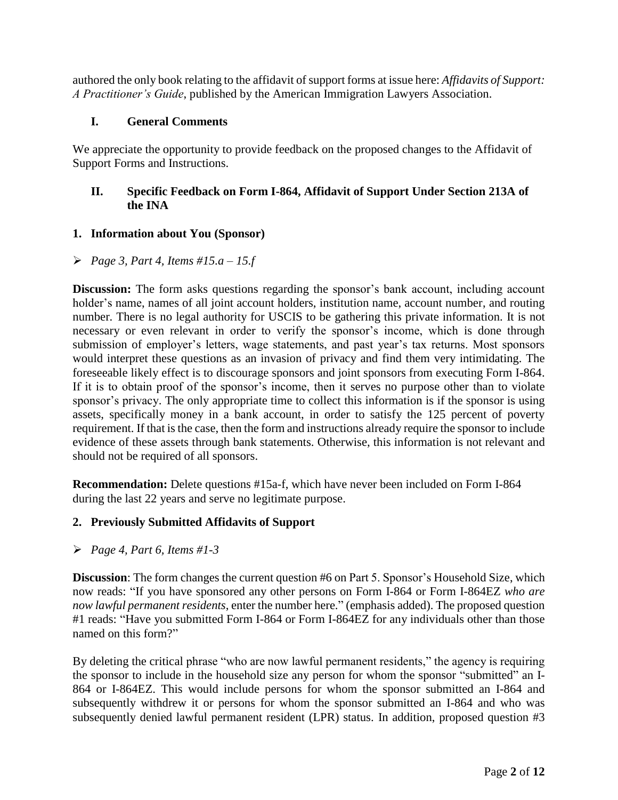authored the only book relating to the affidavit of support forms at issue here: *Affidavits of Support: A Practitioner's Guide*, published by the American Immigration Lawyers Association.

### **I. General Comments**

We appreciate the opportunity to provide feedback on the proposed changes to the Affidavit of Support Forms and Instructions.

## **II. Specific Feedback on Form I-864, Affidavit of Support Under Section 213A of the INA**

#### **1. Information about You (Sponsor)**

*Page 3, Part 4, Items #15.a – 15.f*

**Discussion:** The form asks questions regarding the sponsor's bank account, including account holder's name, names of all joint account holders, institution name, account number, and routing number. There is no legal authority for USCIS to be gathering this private information. It is not necessary or even relevant in order to verify the sponsor's income, which is done through submission of employer's letters, wage statements, and past year's tax returns. Most sponsors would interpret these questions as an invasion of privacy and find them very intimidating. The foreseeable likely effect is to discourage sponsors and joint sponsors from executing Form I-864. If it is to obtain proof of the sponsor's income, then it serves no purpose other than to violate sponsor's privacy. The only appropriate time to collect this information is if the sponsor is using assets, specifically money in a bank account, in order to satisfy the 125 percent of poverty requirement. If that is the case, then the form and instructions already require the sponsor to include evidence of these assets through bank statements. Otherwise, this information is not relevant and should not be required of all sponsors.

**Recommendation:** Delete questions #15a-f, which have never been included on Form I-864 during the last 22 years and serve no legitimate purpose.

## **2. Previously Submitted Affidavits of Support**

*Page 4, Part 6, Items #1-3*

**Discussion**: The form changes the current question #6 on Part 5. Sponsor's Household Size, which now reads: "If you have sponsored any other persons on Form I-864 or Form I-864EZ *who are now lawful permanent residents*, enter the number here." (emphasis added). The proposed question #1 reads: "Have you submitted Form I-864 or Form I-864EZ for any individuals other than those named on this form?"

By deleting the critical phrase "who are now lawful permanent residents," the agency is requiring the sponsor to include in the household size any person for whom the sponsor "submitted" an I-864 or I-864EZ. This would include persons for whom the sponsor submitted an I-864 and subsequently withdrew it or persons for whom the sponsor submitted an I-864 and who was subsequently denied lawful permanent resident (LPR) status. In addition, proposed question #3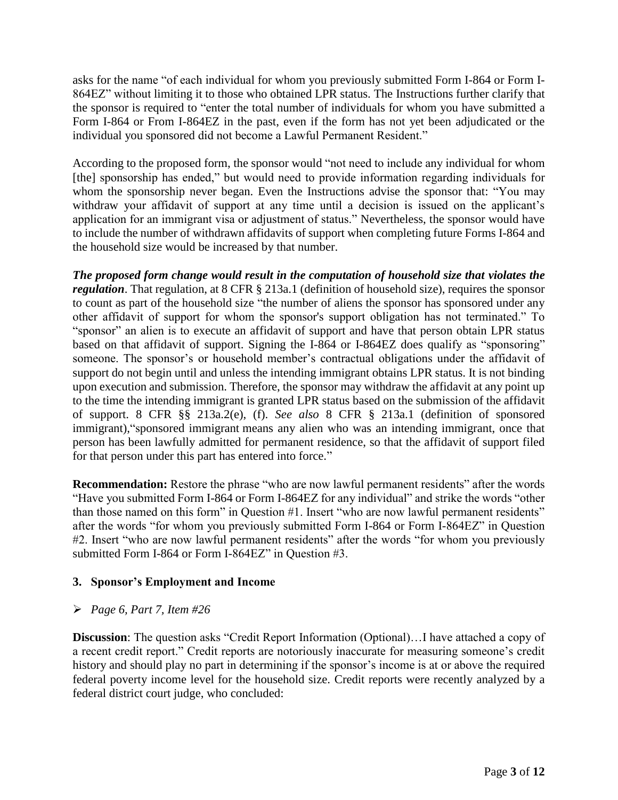asks for the name "of each individual for whom you previously submitted Form I-864 or Form I-864EZ" without limiting it to those who obtained LPR status. The Instructions further clarify that the sponsor is required to "enter the total number of individuals for whom you have submitted a Form I-864 or From I-864EZ in the past, even if the form has not yet been adjudicated or the individual you sponsored did not become a Lawful Permanent Resident."

According to the proposed form, the sponsor would "not need to include any individual for whom [the] sponsorship has ended," but would need to provide information regarding individuals for whom the sponsorship never began. Even the Instructions advise the sponsor that: "You may withdraw your affidavit of support at any time until a decision is issued on the applicant's application for an immigrant visa or adjustment of status." Nevertheless, the sponsor would have to include the number of withdrawn affidavits of support when completing future Forms I-864 and the household size would be increased by that number.

*The proposed form change would result in the computation of household size that violates the regulation*. That regulation, at 8 CFR § 213a.1 (definition of household size), requires the sponsor to count as part of the household size "the number of aliens the sponsor has sponsored under any other affidavit of support for whom the sponsor's support obligation has not terminated." To "sponsor" an alien is to execute an affidavit of support and have that person obtain LPR status based on that affidavit of support. Signing the I-864 or I-864EZ does qualify as "sponsoring" someone. The sponsor's or household member's contractual obligations under the affidavit of support do not begin until and unless the intending immigrant obtains LPR status. It is not binding upon execution and submission. Therefore, the sponsor may withdraw the affidavit at any point up to the time the intending immigrant is granted LPR status based on the submission of the affidavit of support. 8 CFR §§ 213a.2(e), (f). *See also* 8 CFR § 213a.1 (definition of sponsored immigrant),"sponsored immigrant means any alien who was an intending immigrant, once that person has been lawfully admitted for permanent residence, so that the affidavit of support filed for that person under this part has entered into force."

**Recommendation:** Restore the phrase "who are now lawful permanent residents" after the words "Have you submitted Form I-864 or Form I-864EZ for any individual" and strike the words "other than those named on this form" in Question #1. Insert "who are now lawful permanent residents" after the words "for whom you previously submitted Form I-864 or Form I-864EZ" in Question #2. Insert "who are now lawful permanent residents" after the words "for whom you previously submitted Form I-864 or Form I-864EZ" in Question #3.

## **3. Sponsor's Employment and Income**

#### *Page 6, Part 7, Item #26*

**Discussion**: The question asks "Credit Report Information (Optional)...I have attached a copy of a recent credit report." Credit reports are notoriously inaccurate for measuring someone's credit history and should play no part in determining if the sponsor's income is at or above the required federal poverty income level for the household size. Credit reports were recently analyzed by a federal district court judge, who concluded: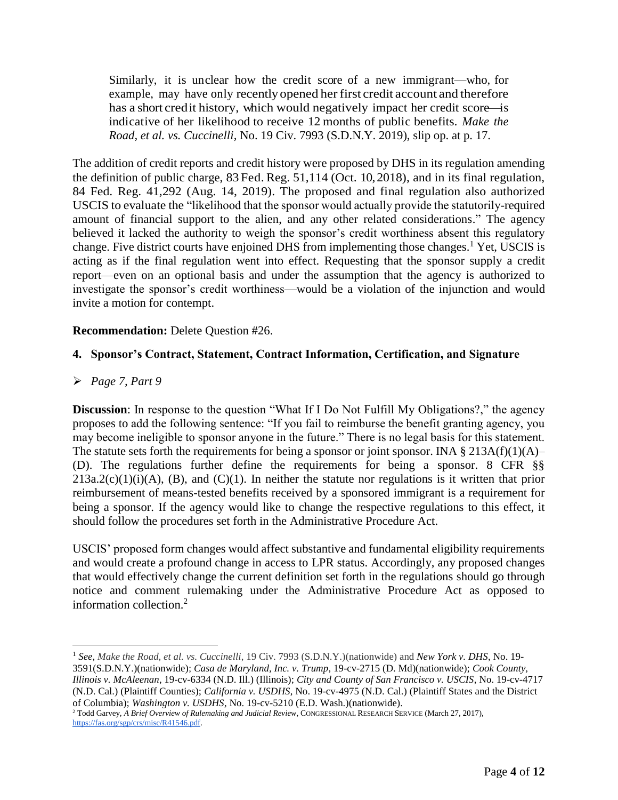Similarly, it is unclear how the credit score of a new immigrant—who, for example, may have only recently opened her first credit account and therefore has a short credit history, which would negatively impact her credit score—is indicative of her likelihood to receive 12 months of public benefits. *Make the Road, et al. vs. Cuccinelli,* No. 19 Civ. 7993 (S.D.N.Y. 2019), slip op. at p. 17.

The addition of credit reports and credit history were proposed by DHS in its regulation amending the definition of public charge, 83 Fed. Reg. 51,114 (Oct. 10,2018), and in its final regulation, 84 Fed. Reg. 41,292 (Aug. 14, 2019). The proposed and final regulation also authorized USCIS to evaluate the "likelihood that the sponsor would actually provide the statutorily-required amount of financial support to the alien, and any other related considerations." The agency believed it lacked the authority to weigh the sponsor's credit worthiness absent this regulatory change. Five district courts have enjoined DHS from implementing those changes.<sup>1</sup> Yet, USCIS is acting as if the final regulation went into effect. Requesting that the sponsor supply a credit report—even on an optional basis and under the assumption that the agency is authorized to investigate the sponsor's credit worthiness—would be a violation of the injunction and would invite a motion for contempt.

#### **Recommendation:** Delete Question #26.

#### **4. Sponsor's Contract, Statement, Contract Information, Certification, and Signature**

#### *Page 7, Part 9*

 $\overline{a}$ 

**Discussion**: In response to the question "What If I Do Not Fulfill My Obligations?," the agency proposes to add the following sentence: "If you fail to reimburse the benefit granting agency, you may become ineligible to sponsor anyone in the future." There is no legal basis for this statement. The statute sets forth the requirements for being a sponsor or joint sponsor. INA  $\S 213A(f)(1)(A)$ – (D). The regulations further define the requirements for being a sponsor. 8 CFR §§  $213a.2(c)(1)(i)(A)$ , (B), and (C)(1). In neither the statute nor regulations is it written that prior reimbursement of means-tested benefits received by a sponsored immigrant is a requirement for being a sponsor. If the agency would like to change the respective regulations to this effect, it should follow the procedures set forth in the Administrative Procedure Act.

USCIS' proposed form changes would affect substantive and fundamental eligibility requirements and would create a profound change in access to LPR status. Accordingly, any proposed changes that would effectively change the current definition set forth in the regulations should go through notice and comment rulemaking under the Administrative Procedure Act as opposed to information collection.<sup>2</sup>

<sup>1</sup> *See, Make the Road, et al. vs. Cuccinelli*, 19 Civ. 7993 (S.D.N.Y.)(nationwide) and *New York v. DHS*, No. 19- 3591(S.D.N.Y.)(nationwide); *Casa de Maryland, Inc. v. Trump*, 19-cv-2715 (D. Md)(nationwide); *Cook County, Illinois v. McAleenan*, 19-cv-6334 (N.D. Ill.) (Illinois); *City and County of San Francisco v. USCIS*, No. 19-cv-4717 (N.D. Cal.) (Plaintiff Counties); *California v. USDHS*, No. 19-cv-4975 (N.D. Cal.) (Plaintiff States and the District of Columbia); *Washington v. USDHS*, No. 19-cv-5210 (E.D. Wash.)(nationwide).

<sup>2</sup> Todd Garvey, *A Brief Overview of Rulemaking and Judicial Review*, CONGRESSIONAL RESEARCH SERVICE (March 27, 2017), [https://fas.org/sgp/crs/misc/R41546.pdf.](https://fas.org/sgp/crs/misc/R41546.pdf)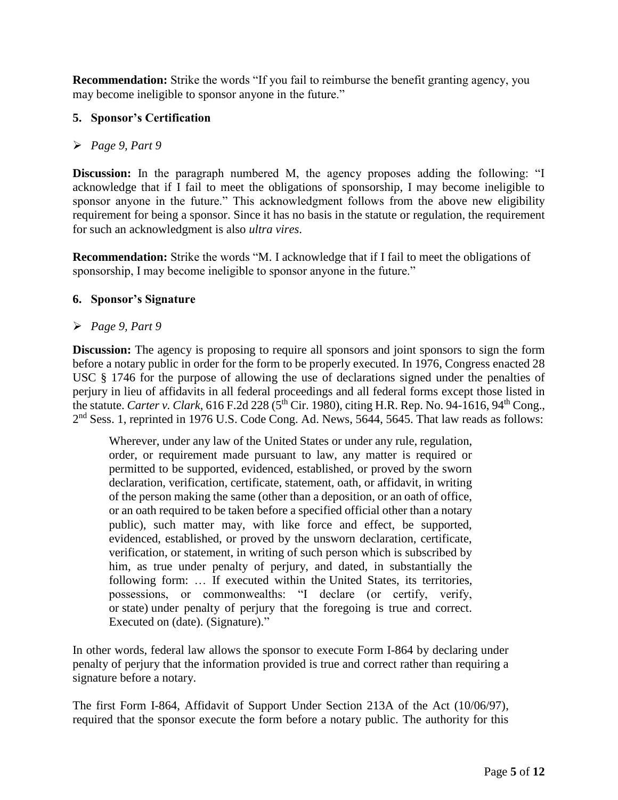**Recommendation:** Strike the words "If you fail to reimburse the benefit granting agency, you may become ineligible to sponsor anyone in the future."

## **5. Sponsor's Certification**

### *Page 9, Part 9*

**Discussion:** In the paragraph numbered M, the agency proposes adding the following: "I acknowledge that if I fail to meet the obligations of sponsorship, I may become ineligible to sponsor anyone in the future." This acknowledgment follows from the above new eligibility requirement for being a sponsor. Since it has no basis in the statute or regulation, the requirement for such an acknowledgment is also *ultra vires*.

**Recommendation:** Strike the words "M. I acknowledge that if I fail to meet the obligations of sponsorship, I may become ineligible to sponsor anyone in the future."

#### **6. Sponsor's Signature**

### *Page 9, Part 9*

**Discussion:** The agency is proposing to require all sponsors and joint sponsors to sign the form before a notary public in order for the form to be properly executed. In 1976, Congress enacted 28 USC § 1746 for the purpose of allowing the use of declarations signed under the penalties of perjury in lieu of affidavits in all federal proceedings and all federal forms except those listed in the statute. *Carter v. Clark*, 616 F.2d 228 (5th Cir. 1980), citing H.R. Rep. No. 94-1616, 94th Cong., 2<sup>nd</sup> Sess. 1, reprinted in 1976 U.S. Code Cong. Ad. News, 5644, 5645. That law reads as follows:

Wherever, under any law of the [United States](https://www.law.cornell.edu/uscode/text/28/1746) or under any rule, regulation, order, or requirement made pursuant to law, any matter is required or permitted to be supported, evidenced, established, or proved by the sworn declaration, verification, certificate, statement, oath, or affidavit, in writing of the person making the same (other than a deposition, or an oath of office, or an oath required to be taken before a specified official other than a notary public), such matter may, with like force and effect, be supported, evidenced, established, or proved by the unsworn declaration, certificate, verification, or statement, in writing of such person which is subscribed by him, as true under penalty of perjury, and dated, in substantially the following form: … If executed within the [United States,](https://www.law.cornell.edu/uscode/text/28/1746) its territories, possessions, or commonwealths: "I declare (or certify, verify, or [state\)](https://www.law.cornell.edu/uscode/text/28/1746) under penalty of perjury that the foregoing is true and correct. Executed on (date). (Signature)."

In other words, federal law allows the sponsor to execute Form I-864 by declaring under penalty of perjury that the information provided is true and correct rather than requiring a signature before a notary.

The first Form I-864, Affidavit of Support Under Section 213A of the Act (10/06/97), required that the sponsor execute the form before a notary public. The authority for this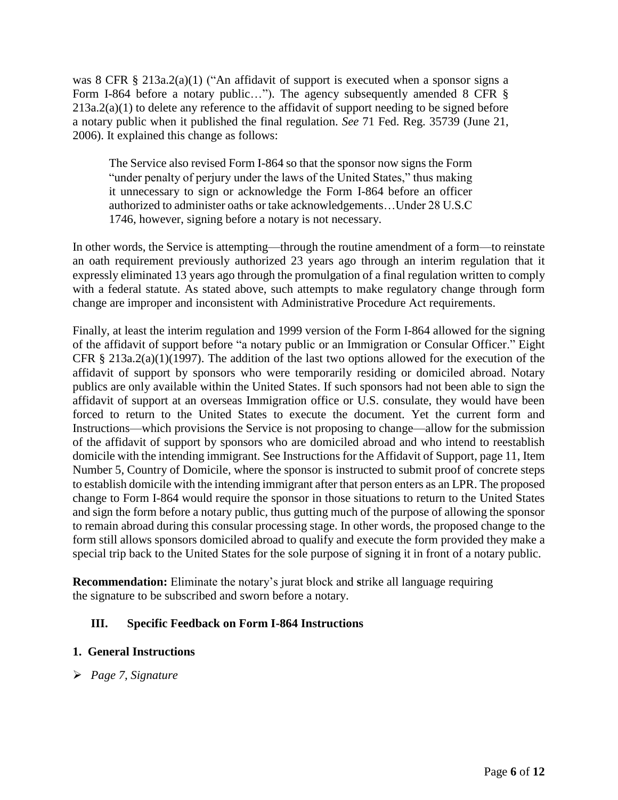was 8 CFR § 213a.2(a)(1) ("An affidavit of support is executed when a sponsor signs a Form I-864 before a notary public..."). The agency subsequently amended 8 CFR §  $213a.2(a)(1)$  to delete any reference to the affidavit of support needing to be signed before a notary public when it published the final regulation. *See* 71 Fed. Reg. 35739 (June 21, 2006). It explained this change as follows:

The Service also revised Form I-864 so that the sponsor now signs the Form "under penalty of perjury under the laws of the United States," thus making it unnecessary to sign or acknowledge the Form I-864 before an officer authorized to administer oaths or take acknowledgements…Under 28 U.S.C 1746, however, signing before a notary is not necessary.

In other words, the Service is attempting—through the routine amendment of a form—to reinstate an oath requirement previously authorized 23 years ago through an interim regulation that it expressly eliminated 13 years ago through the promulgation of a final regulation written to comply with a federal statute. As stated above, such attempts to make regulatory change through form change are improper and inconsistent with Administrative Procedure Act requirements.

Finally, at least the interim regulation and 1999 version of the Form I-864 allowed for the signing of the affidavit of support before "a notary public or an Immigration or Consular Officer." Eight CFR § 213a.2(a)(1)(1997). The addition of the last two options allowed for the execution of the affidavit of support by sponsors who were temporarily residing or domiciled abroad. Notary publics are only available within the United States. If such sponsors had not been able to sign the affidavit of support at an overseas Immigration office or U.S. consulate, they would have been forced to return to the United States to execute the document. Yet the current form and Instructions—which provisions the Service is not proposing to change—allow for the submission of the affidavit of support by sponsors who are domiciled abroad and who intend to reestablish domicile with the intending immigrant. See Instructions for the Affidavit of Support, page 11, Item Number 5, Country of Domicile, where the sponsor is instructed to submit proof of concrete steps to establish domicile with the intending immigrant after that person enters as an LPR. The proposed change to Form I-864 would require the sponsor in those situations to return to the United States and sign the form before a notary public, thus gutting much of the purpose of allowing the sponsor to remain abroad during this consular processing stage. In other words, the proposed change to the form still allows sponsors domiciled abroad to qualify and execute the form provided they make a special trip back to the United States for the sole purpose of signing it in front of a notary public.

**Recommendation:** Eliminate the notary's jurat block and **s**trike all language requiring the signature to be subscribed and sworn before a notary.

## **III. Specific Feedback on Form I-864 Instructions**

#### **1. General Instructions**

*Page 7, Signature*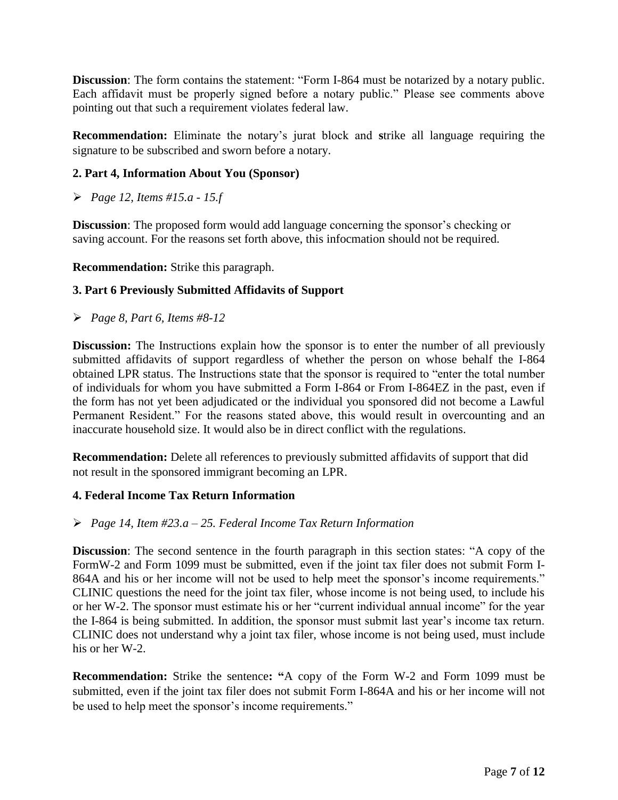**Discussion**: The form contains the statement: "Form I-864 must be notarized by a notary public. Each affidavit must be properly signed before a notary public." Please see comments above pointing out that such a requirement violates federal law.

**Recommendation:** Eliminate the notary's jurat block and **s**trike all language requiring the signature to be subscribed and sworn before a notary.

### **2. Part 4, Information About You (Sponsor)**

*Page 12, Items #15.a - 15.f*

**Discussion**: The proposed form would add language concerning the sponsor's checking or saving account. For the reasons set forth above, this infocmation should not be required.

**Recommendation:** Strike this paragraph.

### **3. Part 6 Previously Submitted Affidavits of Support**

*Page 8, Part 6, Items #8-12*

**Discussion:** The Instructions explain how the sponsor is to enter the number of all previously submitted affidavits of support regardless of whether the person on whose behalf the I-864 obtained LPR status. The Instructions state that the sponsor is required to "enter the total number of individuals for whom you have submitted a Form I-864 or From I-864EZ in the past, even if the form has not yet been adjudicated or the individual you sponsored did not become a Lawful Permanent Resident." For the reasons stated above, this would result in overcounting and an inaccurate household size. It would also be in direct conflict with the regulations.

**Recommendation:** Delete all references to previously submitted affidavits of support that did not result in the sponsored immigrant becoming an LPR.

#### **4. Federal Income Tax Return Information**

#### *Page 14, Item #23.a – 25. Federal Income Tax Return Information*

**Discussion**: The second sentence in the fourth paragraph in this section states: "A copy of the FormW-2 and Form 1099 must be submitted, even if the joint tax filer does not submit Form I-864A and his or her income will not be used to help meet the sponsor's income requirements." CLINIC questions the need for the joint tax filer, whose income is not being used, to include his or her W-2. The sponsor must estimate his or her "current individual annual income" for the year the I-864 is being submitted. In addition, the sponsor must submit last year's income tax return. CLINIC does not understand why a joint tax filer, whose income is not being used, must include his or her W-2.

**Recommendation:** Strike the sentence**: "**A copy of the Form W-2 and Form 1099 must be submitted, even if the joint tax filer does not submit Form I-864A and his or her income will not be used to help meet the sponsor's income requirements."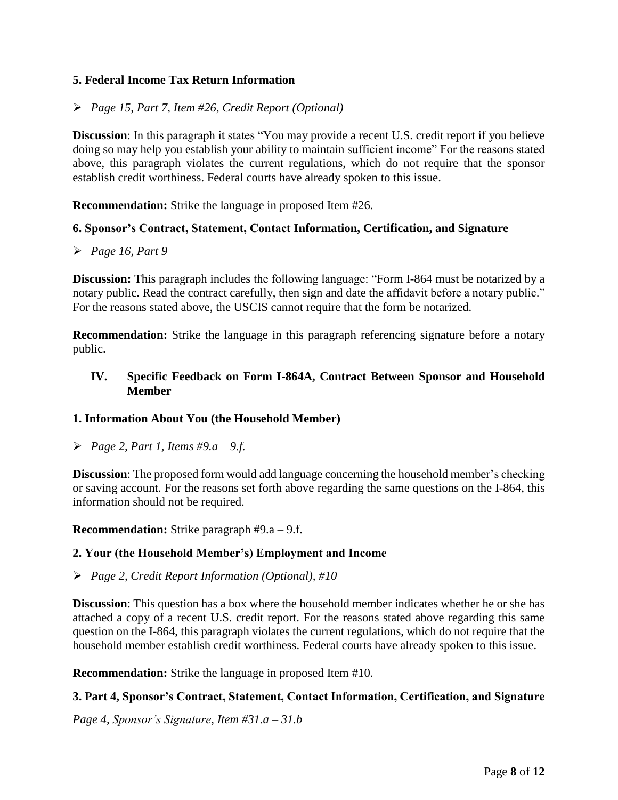### **5. Federal Income Tax Return Information**

### *Page 15, Part 7, Item #26, Credit Report (Optional)*

**Discussion**: In this paragraph it states "You may provide a recent U.S. credit report if you believe doing so may help you establish your ability to maintain sufficient income" For the reasons stated above, this paragraph violates the current regulations, which do not require that the sponsor establish credit worthiness. Federal courts have already spoken to this issue.

**Recommendation:** Strike the language in proposed Item #26.

#### **6. Sponsor's Contract, Statement, Contact Information, Certification, and Signature**

#### *Page 16, Part 9*

**Discussion:** This paragraph includes the following language: "Form I-864 must be notarized by a notary public. Read the contract carefully, then sign and date the affidavit before a notary public." For the reasons stated above, the USCIS cannot require that the form be notarized.

**Recommendation:** Strike the language in this paragraph referencing signature before a notary public.

#### **IV. Specific Feedback on Form I-864A, Contract Between Sponsor and Household Member**

#### **1. Information About You (the Household Member)**

*Page 2, Part 1, Items #9.a – 9.f.*

**Discussion**: The proposed form would add language concerning the household member's checking or saving account. For the reasons set forth above regarding the same questions on the I-864, this information should not be required.

**Recommendation:** Strike paragraph #9.a – 9.f.

#### **2. Your (the Household Member's) Employment and Income**

#### *Page 2, Credit Report Information (Optional), #10*

**Discussion**: This question has a box where the household member indicates whether he or she has attached a copy of a recent U.S. credit report. For the reasons stated above regarding this same question on the I-864, this paragraph violates the current regulations, which do not require that the household member establish credit worthiness. Federal courts have already spoken to this issue.

**Recommendation:** Strike the language in proposed Item #10.

#### **3. Part 4, Sponsor's Contract, Statement, Contact Information, Certification, and Signature**

*Page 4, Sponsor's Signature, Item #31.a – 31.b*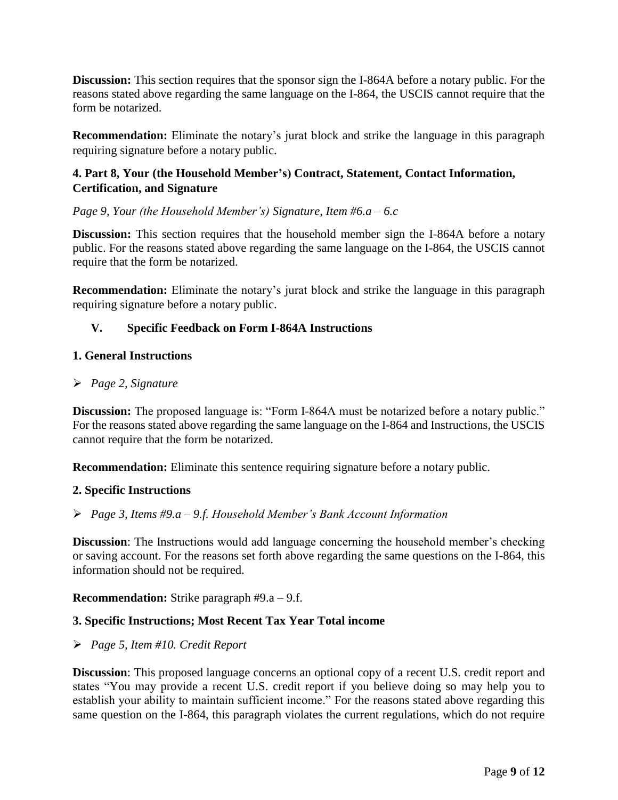**Discussion:** This section requires that the sponsor sign the I-864A before a notary public. For the reasons stated above regarding the same language on the I-864, the USCIS cannot require that the form be notarized.

**Recommendation:** Eliminate the notary's jurat block and strike the language in this paragraph requiring signature before a notary public.

# **4. Part 8, Your (the Household Member's) Contract, Statement, Contact Information, Certification, and Signature**

*Page 9, Your (the Household Member's) Signature, Item #6.a – 6.c*

**Discussion:** This section requires that the household member sign the I-864A before a notary public. For the reasons stated above regarding the same language on the I-864, the USCIS cannot require that the form be notarized.

**Recommendation:** Eliminate the notary's jurat block and strike the language in this paragraph requiring signature before a notary public.

# **V. Specific Feedback on Form I-864A Instructions**

### **1. General Instructions**

### *Page 2, Signature*

**Discussion:** The proposed language is: "Form I-864A must be notarized before a notary public." For the reasons stated above regarding the same language on the I-864 and Instructions, the USCIS cannot require that the form be notarized.

**Recommendation:** Eliminate this sentence requiring signature before a notary public.

## **2. Specific Instructions**

## *Page 3, Items #9.a – 9.f. Household Member's Bank Account Information*

**Discussion**: The Instructions would add language concerning the household member's checking or saving account. For the reasons set forth above regarding the same questions on the I-864, this information should not be required.

**Recommendation:** Strike paragraph #9.a – 9.f.

## **3. Specific Instructions; Most Recent Tax Year Total income**

## *Page 5, Item #10. Credit Report*

**Discussion**: This proposed language concerns an optional copy of a recent U.S. credit report and states "You may provide a recent U.S. credit report if you believe doing so may help you to establish your ability to maintain sufficient income." For the reasons stated above regarding this same question on the I-864, this paragraph violates the current regulations, which do not require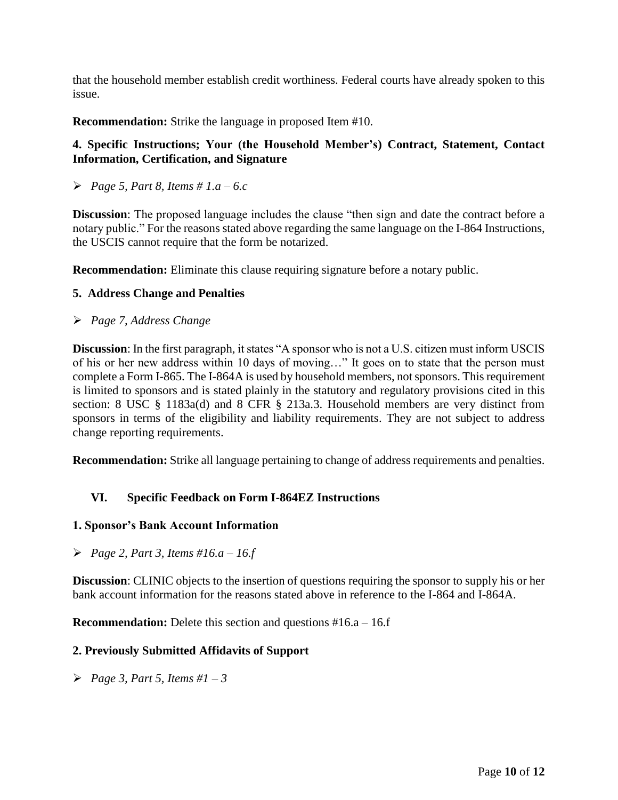that the household member establish credit worthiness. Federal courts have already spoken to this issue.

**Recommendation:** Strike the language in proposed Item #10.

# **4. Specific Instructions; Your (the Household Member's) Contract, Statement, Contact Information, Certification, and Signature**

*Page 5, Part 8, Items # 1.a – 6.c*

**Discussion**: The proposed language includes the clause "then sign and date the contract before a notary public." For the reasons stated above regarding the same language on the I-864 Instructions, the USCIS cannot require that the form be notarized.

**Recommendation:** Eliminate this clause requiring signature before a notary public.

### **5. Address Change and Penalties**

*Page 7, Address Change*

**Discussion**: In the first paragraph, it states "A sponsor who is not a U.S. citizen must inform USCIS of his or her new address within 10 days of moving…" It goes on to state that the person must complete a Form I-865. The I-864A is used by household members, not sponsors. This requirement is limited to sponsors and is stated plainly in the statutory and regulatory provisions cited in this section: 8 USC § 1183a(d) and 8 CFR § 213a.3. Household members are very distinct from sponsors in terms of the eligibility and liability requirements. They are not subject to address change reporting requirements.

**Recommendation:** Strike all language pertaining to change of address requirements and penalties.

## **VI. Specific Feedback on Form I-864EZ Instructions**

#### **1. Sponsor's Bank Account Information**

*Page 2, Part 3, Items #16.a – 16.f*

**Discussion**: CLINIC objects to the insertion of questions requiring the sponsor to supply his or her bank account information for the reasons stated above in reference to the I-864 and I-864A.

**Recommendation:** Delete this section and questions #16.a – 16.f

#### **2. Previously Submitted Affidavits of Support**

*Page 3, Part 5, Items #1 – 3*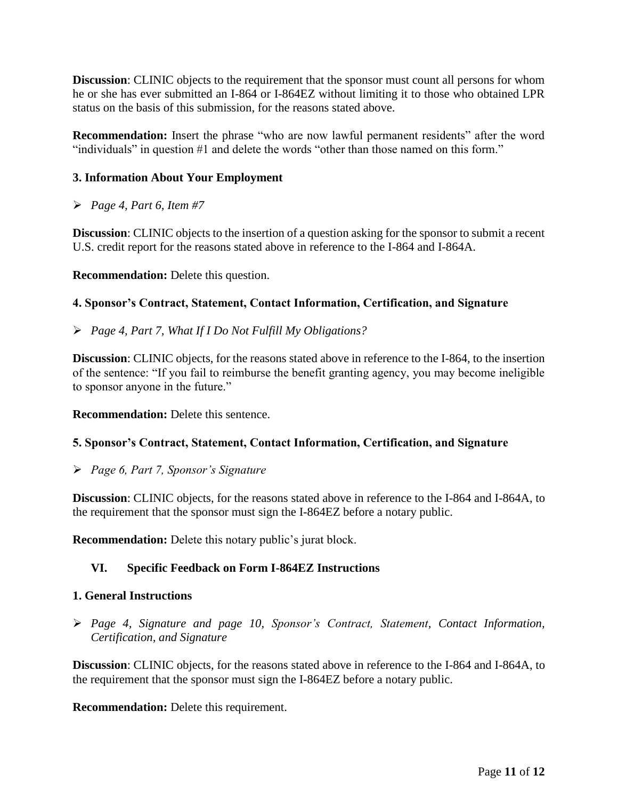**Discussion**: CLINIC objects to the requirement that the sponsor must count all persons for whom he or she has ever submitted an I-864 or I-864EZ without limiting it to those who obtained LPR status on the basis of this submission, for the reasons stated above.

**Recommendation:** Insert the phrase "who are now lawful permanent residents" after the word "individuals" in question #1 and delete the words "other than those named on this form."

# **3. Information About Your Employment**

*Page 4, Part 6, Item #7*

**Discussion**: CLINIC objects to the insertion of a question asking for the sponsor to submit a recent U.S. credit report for the reasons stated above in reference to the I-864 and I-864A.

**Recommendation:** Delete this question.

## **4. Sponsor's Contract, Statement, Contact Information, Certification, and Signature**

*Page 4, Part 7, What If I Do Not Fulfill My Obligations?*

**Discussion**: CLINIC objects, for the reasons stated above in reference to the I-864, to the insertion of the sentence: "If you fail to reimburse the benefit granting agency, you may become ineligible to sponsor anyone in the future."

**Recommendation:** Delete this sentence.

## **5. Sponsor's Contract, Statement, Contact Information, Certification, and Signature**

*Page 6, Part 7, Sponsor's Signature*

**Discussion**: CLINIC objects, for the reasons stated above in reference to the I-864 and I-864A, to the requirement that the sponsor must sign the I-864EZ before a notary public.

**Recommendation:** Delete this notary public's jurat block.

## **VI. Specific Feedback on Form I-864EZ Instructions**

#### **1. General Instructions**

 *Page 4, Signature and page 10, Sponsor's Contract, Statement, Contact Information, Certification, and Signature*

**Discussion**: CLINIC objects, for the reasons stated above in reference to the I-864 and I-864A, to the requirement that the sponsor must sign the I-864EZ before a notary public.

**Recommendation:** Delete this requirement.